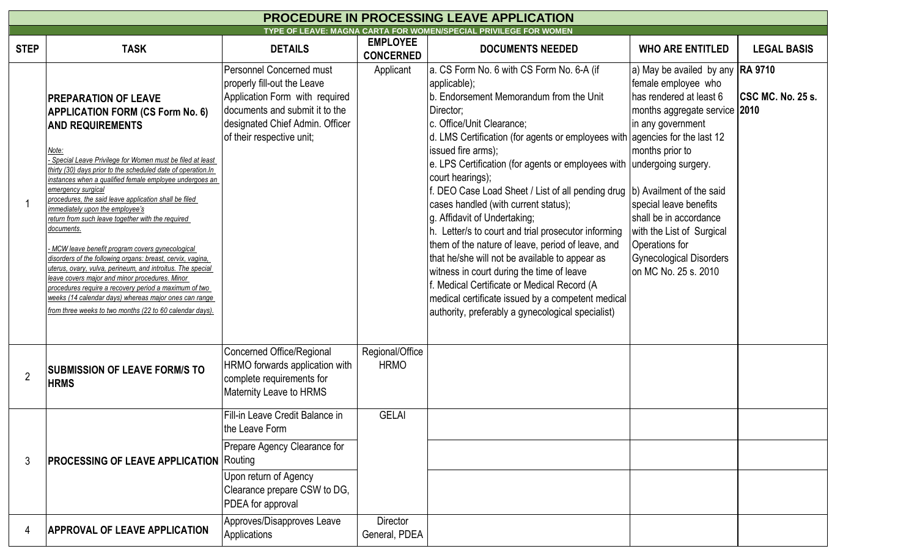| <b>PROCEDURE IN PROCESSING LEAVE APPLICATION</b>                 |                                                                                                                                                                                                                                                                                                                                                                                                                                                                                                                                                                                                                                                                                                                                                                                                                                                                                                      |                                                                                                                                                                                                    |                                     |                                                                                                                                                                                                                                                                                                                                                                                                                                                                                                                                                                                                                                                                                                                                                                                                                                                                           |                                                                                                                                                                                                                                                                                                                                         |                    |  |  |  |  |  |
|------------------------------------------------------------------|------------------------------------------------------------------------------------------------------------------------------------------------------------------------------------------------------------------------------------------------------------------------------------------------------------------------------------------------------------------------------------------------------------------------------------------------------------------------------------------------------------------------------------------------------------------------------------------------------------------------------------------------------------------------------------------------------------------------------------------------------------------------------------------------------------------------------------------------------------------------------------------------------|----------------------------------------------------------------------------------------------------------------------------------------------------------------------------------------------------|-------------------------------------|---------------------------------------------------------------------------------------------------------------------------------------------------------------------------------------------------------------------------------------------------------------------------------------------------------------------------------------------------------------------------------------------------------------------------------------------------------------------------------------------------------------------------------------------------------------------------------------------------------------------------------------------------------------------------------------------------------------------------------------------------------------------------------------------------------------------------------------------------------------------------|-----------------------------------------------------------------------------------------------------------------------------------------------------------------------------------------------------------------------------------------------------------------------------------------------------------------------------------------|--------------------|--|--|--|--|--|
| TYPE OF LEAVE: MAGNA CARTA FOR WOMEN/SPECIAL PRIVILEGE FOR WOMEN |                                                                                                                                                                                                                                                                                                                                                                                                                                                                                                                                                                                                                                                                                                                                                                                                                                                                                                      |                                                                                                                                                                                                    |                                     |                                                                                                                                                                                                                                                                                                                                                                                                                                                                                                                                                                                                                                                                                                                                                                                                                                                                           |                                                                                                                                                                                                                                                                                                                                         |                    |  |  |  |  |  |
| <b>STEP</b>                                                      | <b>TASK</b>                                                                                                                                                                                                                                                                                                                                                                                                                                                                                                                                                                                                                                                                                                                                                                                                                                                                                          | <b>DETAILS</b>                                                                                                                                                                                     | <b>EMPLOYEE</b><br><b>CONCERNED</b> | <b>DOCUMENTS NEEDED</b>                                                                                                                                                                                                                                                                                                                                                                                                                                                                                                                                                                                                                                                                                                                                                                                                                                                   | <b>WHO ARE ENTITLED</b>                                                                                                                                                                                                                                                                                                                 | <b>LEGAL BASIS</b> |  |  |  |  |  |
|                                                                  | PREPARATION OF LEAVE<br><b>APPLICATION FORM (CS Form No. 6)</b><br><b>AND REQUIREMENTS</b><br><u>Note:</u><br>Special Leave Privilege for Women must be filed at least<br>thirty (30) days prior to the scheduled date of operation.In<br>instances when a qualified female employee undergoes an<br>emergency surgical<br>procedures, the said leave application shall be filed<br>immediately upon the employee's<br>return from such leave together with the required<br>documents.<br>MCW leave benefit program covers gynecological<br>disorders of the following organs: breast, cervix, vagina,<br>uterus, ovary, vulva, perineum, and introitus. The special<br>leave covers major and minor procedures. Minor<br>procedures require a recovery period a maximum of two<br>weeks (14 calendar days) whereas major ones can range<br>from three weeks to two months (22 to 60 calendar days). | <b>Personnel Concerned must</b><br>properly fill-out the Leave<br>Application Form with required<br>documents and submit it to the<br>designated Chief Admin. Officer<br>of their respective unit; | Applicant                           | a. CS Form No. 6 with CS Form No. 6-A (if<br>applicable);<br>b. Endorsement Memorandum from the Unit<br>Director;<br>c. Office/Unit Clearance;<br>d. LMS Certification (for agents or employees with agencies for the last 12<br>issued fire arms);<br>e. LPS Certification (for agents or employees with undergoing surgery.<br>court hearings);<br>f. DEO Case Load Sheet / List of all pending drug  b) Availment of the said<br>cases handled (with current status);<br>g. Affidavit of Undertaking;<br>h. Letter/s to court and trial prosecutor informing<br>them of the nature of leave, period of leave, and<br>that he/she will not be available to appear as<br>witness in court during the time of leave<br>Medical Certificate or Medical Record (A<br>medical certificate issued by a competent medical<br>authority, preferably a gynecological specialist) | a) May be availed by any <b>RA 9710</b><br>female employee who<br>has rendered at least 6<br>months aggregate service 2010<br>in any government<br>months prior to<br>special leave benefits<br>shall be in accordance<br>with the List of Surgical<br><b>Operations for</b><br><b>Gynecological Disorders</b><br>lon MC No. 25 s. 2010 | CSC MC. No. 25 s.  |  |  |  |  |  |
|                                                                  | <b>SUBMISSION OF LEAVE FORM/S TO</b><br><b>HRMS</b>                                                                                                                                                                                                                                                                                                                                                                                                                                                                                                                                                                                                                                                                                                                                                                                                                                                  | Concerned Office/Regional<br>HRMO forwards application with<br>complete requirements for<br>Maternity Leave to HRMS                                                                                | Regional/Office<br><b>HRMO</b>      |                                                                                                                                                                                                                                                                                                                                                                                                                                                                                                                                                                                                                                                                                                                                                                                                                                                                           |                                                                                                                                                                                                                                                                                                                                         |                    |  |  |  |  |  |
| 3                                                                | <b>PROCESSING OF LEAVE APPLICATION Routing</b>                                                                                                                                                                                                                                                                                                                                                                                                                                                                                                                                                                                                                                                                                                                                                                                                                                                       | Fill-in Leave Credit Balance in<br>the Leave Form<br>Prepare Agency Clearance for<br>Upon return of Agency<br>Clearance prepare CSW to DG,<br>PDEA for approval                                    | <b>GELAI</b>                        |                                                                                                                                                                                                                                                                                                                                                                                                                                                                                                                                                                                                                                                                                                                                                                                                                                                                           |                                                                                                                                                                                                                                                                                                                                         |                    |  |  |  |  |  |
| 4                                                                | <b>APPROVAL OF LEAVE APPLICATION</b>                                                                                                                                                                                                                                                                                                                                                                                                                                                                                                                                                                                                                                                                                                                                                                                                                                                                 | Approves/Disapproves Leave<br>Applications                                                                                                                                                         | Director<br>General, PDEA           |                                                                                                                                                                                                                                                                                                                                                                                                                                                                                                                                                                                                                                                                                                                                                                                                                                                                           |                                                                                                                                                                                                                                                                                                                                         |                    |  |  |  |  |  |